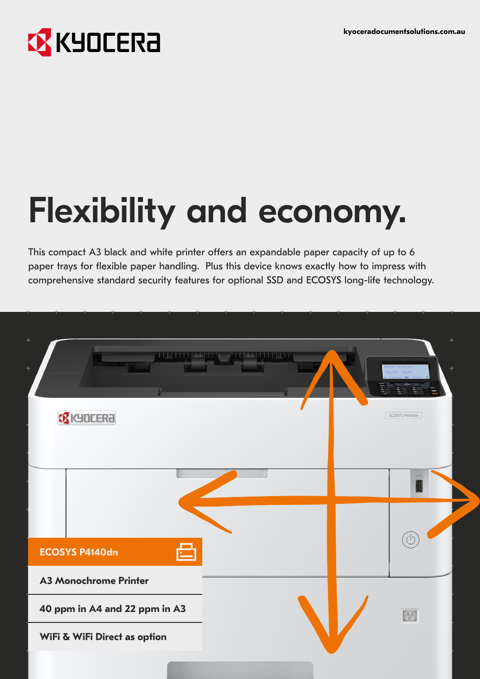## **EX KYOCERA**

# Flexibility and economy.

This compact A3 black and white printer offers an expandable paper capacity of up to 6 paper trays for flexible paper handling. Plus this device knows exactly how to impress with comprehensive standard security features for optional SSD and ECOSYS long-life technology.